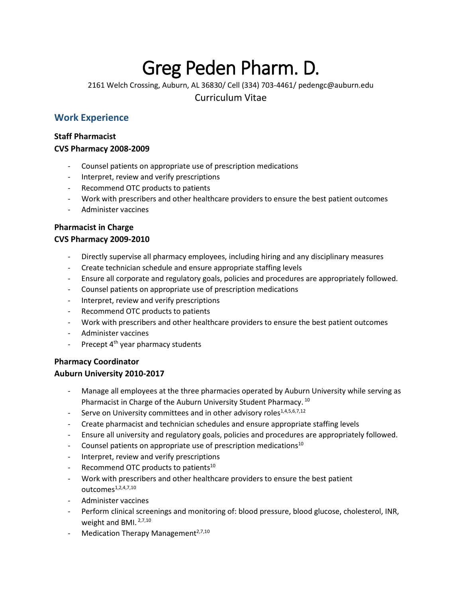# Greg Peden Pharm. D.

2161 Welch Crossing, Auburn, AL 36830/ Cell (334) 703-4461/ pedengc@auburn.edu

Curriculum Vitae

# **Work Experience**

### **Staff Pharmacist**

#### **CVS Pharmacy 2008-2009**

- Counsel patients on appropriate use of prescription medications
- Interpret, review and verify prescriptions
- Recommend OTC products to patients
- Work with prescribers and other healthcare providers to ensure the best patient outcomes
- Administer vaccines

#### **Pharmacist in Charge CVS Pharmacy 2009-2010**

- Directly supervise all pharmacy employees, including hiring and any disciplinary measures
- Create technician schedule and ensure appropriate staffing levels
- Ensure all corporate and regulatory goals, policies and procedures are appropriately followed.
- Counsel patients on appropriate use of prescription medications
- Interpret, review and verify prescriptions
- Recommend OTC products to patients
- Work with prescribers and other healthcare providers to ensure the best patient outcomes
- Administer vaccines
- Precept  $4<sup>th</sup>$  year pharmacy students

# **Pharmacy Coordinator**

# **Auburn University 2010-2017**

- Manage all employees at the three pharmacies operated by Auburn University while serving as Pharmacist in Charge of the Auburn University Student Pharmacy. <sup>10</sup>
- Serve on University committees and in other advisory roles<sup>1,4,5,6,7,12</sup>
- Create pharmacist and technician schedules and ensure appropriate staffing levels
- Ensure all university and regulatory goals, policies and procedures are appropriately followed.
- Counsel patients on appropriate use of prescription medications<sup>10</sup>
- Interpret, review and verify prescriptions
- Recommend OTC products to patients<sup>10</sup>
- Work with prescribers and other healthcare providers to ensure the best patient  $Outcomes<sup>1,2,4,7,10</sup>$
- Administer vaccines
- Perform clinical screenings and monitoring of: blood pressure, blood glucose, cholesterol, INR, weight and BMI.<sup>2,7,10</sup>
- Medication Therapy Management $2,7,10$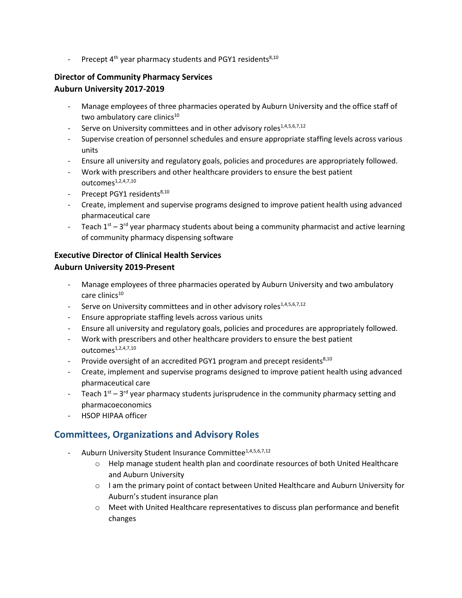- Precept  $4^{th}$  year pharmacy students and PGY1 residents<sup>8,10</sup>

#### **Director of Community Pharmacy Services Auburn University 2017-2019**

- Manage employees of three pharmacies operated by Auburn University and the office staff of two ambulatory care clinics $10$
- Serve on University committees and in other advisory roles<sup>1,4,5,6,7,12</sup>
- Supervise creation of personnel schedules and ensure appropriate staffing levels across various units
- Ensure all university and regulatory goals, policies and procedures are appropriately followed.
- Work with prescribers and other healthcare providers to ensure the best patient  $outcomes<sup>1,2,4,7,10</sup>$
- Precept PGY1 residents<sup>8,10</sup>
- Create, implement and supervise programs designed to improve patient health using advanced pharmaceutical care
- Teach  $1^{st}$  3<sup>rd</sup> year pharmacy students about being a community pharmacist and active learning of community pharmacy dispensing software

#### **Executive Director of Clinical Health Services Auburn University 2019-Present**

- Manage employees of three pharmacies operated by Auburn University and two ambulatory care clinics<sup>10</sup>
- Serve on University committees and in other advisory roles<sup>1,4,5,6,7,12</sup>
- Ensure appropriate staffing levels across various units
- Ensure all university and regulatory goals, policies and procedures are appropriately followed.
- Work with prescribers and other healthcare providers to ensure the best patient outcomes<sup>1,2,4,7,10</sup>
- Provide oversight of an accredited PGY1 program and precept residents<sup>8,10</sup>
- Create, implement and supervise programs designed to improve patient health using advanced pharmaceutical care
- Teach  $1^{st}$  3<sup>rd</sup> year pharmacy students jurisprudence in the community pharmacy setting and pharmacoeconomics
- HSOP HIPAA officer

# **Committees, Organizations and Advisory Roles**

- Auburn University Student Insurance Committee<sup>1,4,5,6,7,12</sup>
	- o Help manage student health plan and coordinate resources of both United Healthcare and Auburn University
	- o I am the primary point of contact between United Healthcare and Auburn University for Auburn's student insurance plan
	- o Meet with United Healthcare representatives to discuss plan performance and benefit changes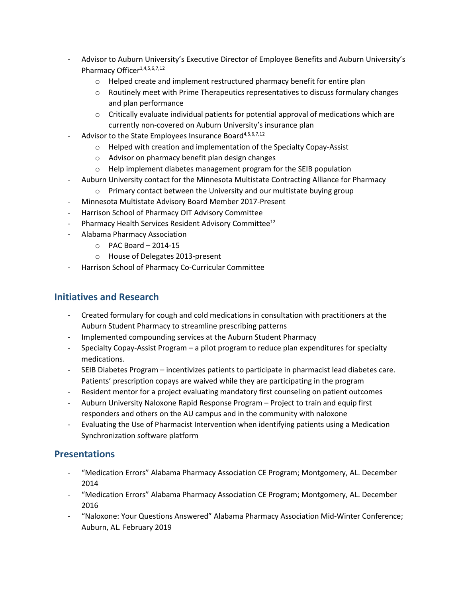- Advisor to Auburn University's Executive Director of Employee Benefits and Auburn University's Pharmacy Officer<sup>1,4,5,6,7,12</sup>
	- o Helped create and implement restructured pharmacy benefit for entire plan
	- $\circ$  Routinely meet with Prime Therapeutics representatives to discuss formulary changes and plan performance
	- $\circ$  Critically evaluate individual patients for potential approval of medications which are currently non-covered on Auburn University's insurance plan
- Advisor to the State Employees Insurance Board<sup>4,5,6,7,12</sup>
	- o Helped with creation and implementation of the Specialty Copay-Assist
	- o Advisor on pharmacy benefit plan design changes
	- o Help implement diabetes management program for the SEIB population
- Auburn University contact for the Minnesota Multistate Contracting Alliance for Pharmacy
	- o Primary contact between the University and our multistate buying group
- Minnesota Multistate Advisory Board Member 2017-Present
- Harrison School of Pharmacy OIT Advisory Committee
- Pharmacy Health Services Resident Advisory Committee<sup>12</sup>
- Alabama Pharmacy Association
	- o PAC Board 2014-15
	- o House of Delegates 2013-present
- Harrison School of Pharmacy Co-Curricular Committee

# **Initiatives and Research**

- Created formulary for cough and cold medications in consultation with practitioners at the Auburn Student Pharmacy to streamline prescribing patterns
- Implemented compounding services at the Auburn Student Pharmacy
- Specialty Copay-Assist Program a pilot program to reduce plan expenditures for specialty medications.
- SEIB Diabetes Program incentivizes patients to participate in pharmacist lead diabetes care. Patients' prescription copays are waived while they are participating in the program
- Resident mentor for a project evaluating mandatory first counseling on patient outcomes
- Auburn University Naloxone Rapid Response Program Project to train and equip first responders and others on the AU campus and in the community with naloxone
- Evaluating the Use of Pharmacist Intervention when identifying patients using a Medication Synchronization software platform

# **Presentations**

- "Medication Errors" Alabama Pharmacy Association CE Program; Montgomery, AL. December 2014
- "Medication Errors" Alabama Pharmacy Association CE Program; Montgomery, AL. December 2016
- "Naloxone: Your Questions Answered" Alabama Pharmacy Association Mid-Winter Conference; Auburn, AL. February 2019